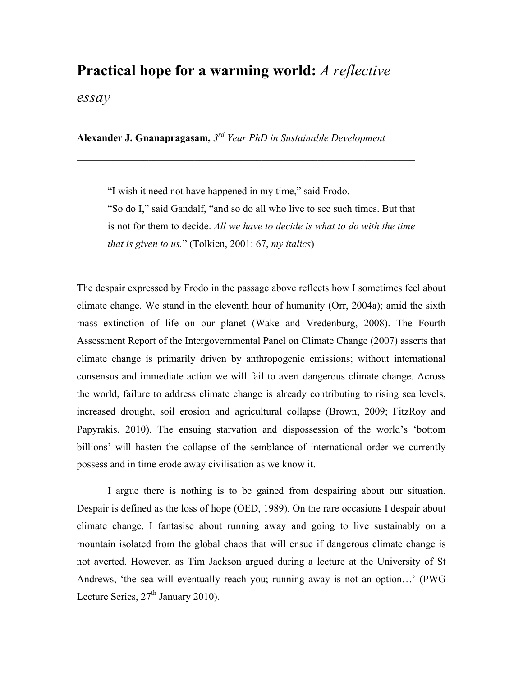## **Practical hope for a warming world:** *A reflective*

*essay*

**Alexander J. Gnanapragasam,** *3rd Year PhD in Sustainable Development* 

 $\mathcal{L}_\mathcal{L} = \mathcal{L}_\mathcal{L} = \mathcal{L}_\mathcal{L} = \mathcal{L}_\mathcal{L} = \mathcal{L}_\mathcal{L} = \mathcal{L}_\mathcal{L} = \mathcal{L}_\mathcal{L} = \mathcal{L}_\mathcal{L} = \mathcal{L}_\mathcal{L} = \mathcal{L}_\mathcal{L} = \mathcal{L}_\mathcal{L} = \mathcal{L}_\mathcal{L} = \mathcal{L}_\mathcal{L} = \mathcal{L}_\mathcal{L} = \mathcal{L}_\mathcal{L} = \mathcal{L}_\mathcal{L} = \mathcal{L}_\mathcal{L}$ 

"I wish it need not have happened in my time," said Frodo. "So do I," said Gandalf, "and so do all who live to see such times. But that is not for them to decide. *All we have to decide is what to do with the time that is given to us.*" (Tolkien, 2001: 67, *my italics*)

The despair expressed by Frodo in the passage above reflects how I sometimes feel about climate change. We stand in the eleventh hour of humanity (Orr, 2004a); amid the sixth mass extinction of life on our planet (Wake and Vredenburg, 2008). The Fourth Assessment Report of the Intergovernmental Panel on Climate Change (2007) asserts that climate change is primarily driven by anthropogenic emissions; without international consensus and immediate action we will fail to avert dangerous climate change. Across the world, failure to address climate change is already contributing to rising sea levels, increased drought, soil erosion and agricultural collapse (Brown, 2009; FitzRoy and Papyrakis, 2010). The ensuing starvation and dispossession of the world's 'bottom billions' will hasten the collapse of the semblance of international order we currently possess and in time erode away civilisation as we know it.

I argue there is nothing is to be gained from despairing about our situation. Despair is defined as the loss of hope (OED, 1989). On the rare occasions I despair about climate change, I fantasise about running away and going to live sustainably on a mountain isolated from the global chaos that will ensue if dangerous climate change is not averted. However, as Tim Jackson argued during a lecture at the University of St Andrews, 'the sea will eventually reach you; running away is not an option…' (PWG Lecture Series,  $27<sup>th</sup>$  January 2010).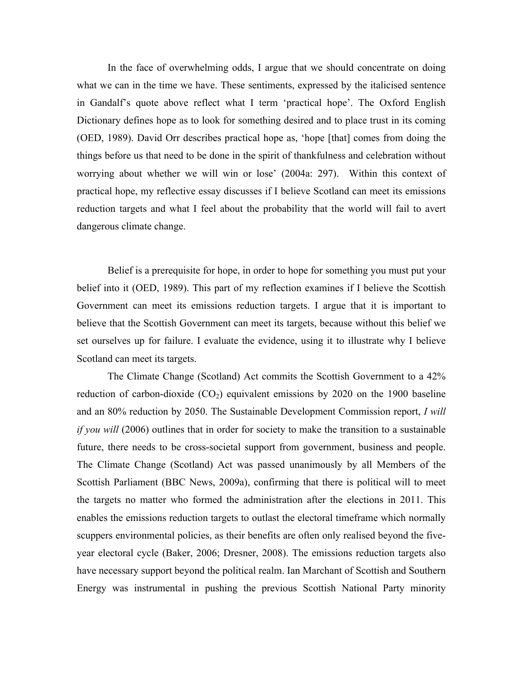In the face of overwhelming odds, I argue that we should concentrate on doing what we can in the time we have. These sentiments, expressed by the italicised sentence in Gandalf's quote above reflect what I term 'practical hope'. The Oxford English Dictionary defines hope as to look for something desired and to place trust in its coming (OED, 1989). David Orr describes practical hope as, 'hope [that] comes from doing the things before us that need to be done in the spirit of thankfulness and celebration without worrying about whether we will win or lose' (2004a: 297). Within this context of practical hope, my reflective essay discusses if I believe Scotland can meet its emissions reduction targets and what I feel about the probability that the world will fail to avert dangerous climate change.

Belief is a prerequisite for hope, in order to hope for something you must put your belief into it (OED, 1989). This part of my reflection examines if I believe the Scottish Government can meet its emissions reduction targets. I argue that it is important to believe that the Scottish Government can meet its targets, because without this belief we set ourselves up for failure. I evaluate the evidence, using it to illustrate why I believe Scotland can meet its targets.

The Climate Change (Scotland) Act commits the Scottish Government to a 42% reduction of carbon-dioxide  $(CO_2)$  equivalent emissions by 2020 on the 1900 baseline and an 80% reduction by 2050. The Sustainable Development Commission report, *I will if you will* (2006) outlines that in order for society to make the transition to a sustainable future, there needs to be cross-societal support from government, business and people. The Climate Change (Scotland) Act was passed unanimously by all Members of the Scottish Parliament (BBC News, 2009a), confirming that there is political will to meet the targets no matter who formed the administration after the elections in 2011. This enables the emissions reduction targets to outlast the electoral timeframe which normally scuppers environmental policies, as their benefits are often only realised beyond the fiveyear electoral cycle (Baker, 2006; Dresner, 2008). The emissions reduction targets also have necessary support beyond the political realm. Ian Marchant of Scottish and Southern Energy was instrumental in pushing the previous Scottish National Party minority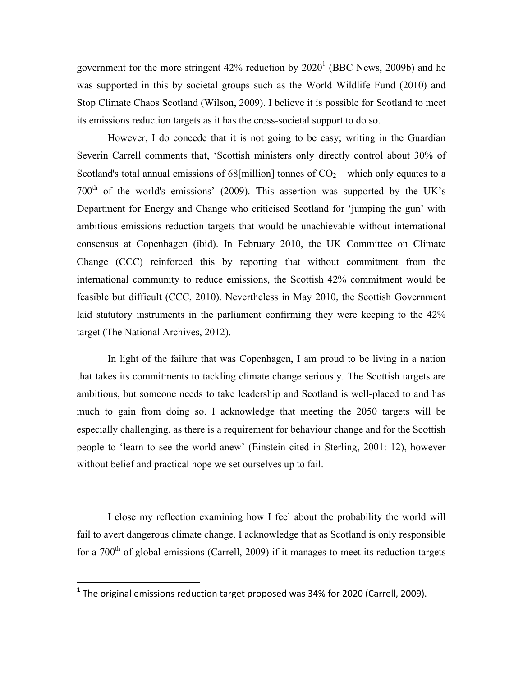government for the more stringent  $42\%$  reduction by  $2020<sup>1</sup>$  (BBC News, 2009b) and he was supported in this by societal groups such as the World Wildlife Fund (2010) and Stop Climate Chaos Scotland (Wilson, 2009). I believe it is possible for Scotland to meet its emissions reduction targets as it has the cross-societal support to do so.

However, I do concede that it is not going to be easy; writing in the Guardian Severin Carrell comments that, 'Scottish ministers only directly control about 30% of Scotland's total annual emissions of 68[million] tonnes of  $CO<sub>2</sub>$  – which only equates to a  $700<sup>th</sup>$  of the world's emissions' (2009). This assertion was supported by the UK's Department for Energy and Change who criticised Scotland for 'jumping the gun' with ambitious emissions reduction targets that would be unachievable without international consensus at Copenhagen (ibid). In February 2010, the UK Committee on Climate Change (CCC) reinforced this by reporting that without commitment from the international community to reduce emissions, the Scottish 42% commitment would be feasible but difficult (CCC, 2010). Nevertheless in May 2010, the Scottish Government laid statutory instruments in the parliament confirming they were keeping to the 42% target (The National Archives, 2012).

In light of the failure that was Copenhagen, I am proud to be living in a nation that takes its commitments to tackling climate change seriously. The Scottish targets are ambitious, but someone needs to take leadership and Scotland is well-placed to and has much to gain from doing so. I acknowledge that meeting the 2050 targets will be especially challenging, as there is a requirement for behaviour change and for the Scottish people to 'learn to see the world anew' (Einstein cited in Sterling, 2001: 12), however without belief and practical hope we set ourselves up to fail.

I close my reflection examining how I feel about the probability the world will fail to avert dangerous climate change. I acknowledge that as Scotland is only responsible for a  $700<sup>th</sup>$  of global emissions (Carrell, 2009) if it manages to meet its reduction targets

 $\overline{a}$ 

 $1$  The original emissions reduction target proposed was 34% for 2020 (Carrell, 2009).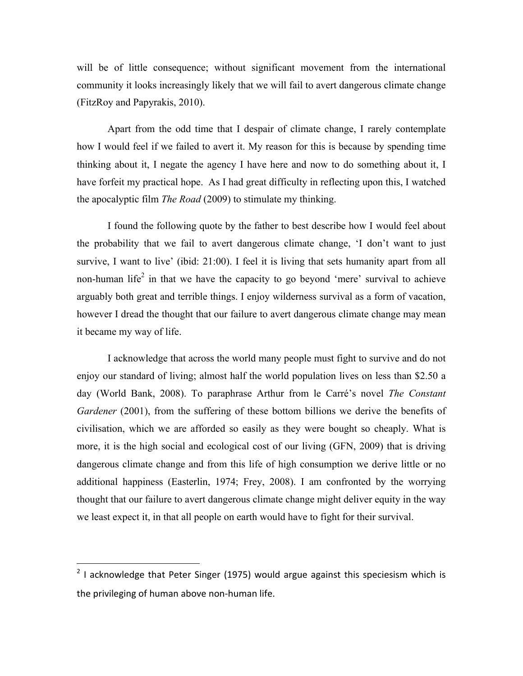will be of little consequence; without significant movement from the international community it looks increasingly likely that we will fail to avert dangerous climate change (FitzRoy and Papyrakis, 2010).

Apart from the odd time that I despair of climate change, I rarely contemplate how I would feel if we failed to avert it. My reason for this is because by spending time thinking about it, I negate the agency I have here and now to do something about it, I have forfeit my practical hope. As I had great difficulty in reflecting upon this, I watched the apocalyptic film *The Road* (2009) to stimulate my thinking.

I found the following quote by the father to best describe how I would feel about the probability that we fail to avert dangerous climate change, 'I don't want to just survive, I want to live' (ibid: 21:00). I feel it is living that sets humanity apart from all non-human life<sup>2</sup> in that we have the capacity to go beyond 'mere' survival to achieve arguably both great and terrible things. I enjoy wilderness survival as a form of vacation, however I dread the thought that our failure to avert dangerous climate change may mean it became my way of life.

I acknowledge that across the world many people must fight to survive and do not enjoy our standard of living; almost half the world population lives on less than \$2.50 a day (World Bank, 2008). To paraphrase Arthur from le Carré's novel *The Constant Gardener* (2001), from the suffering of these bottom billions we derive the benefits of civilisation, which we are afforded so easily as they were bought so cheaply. What is more, it is the high social and ecological cost of our living (GFN, 2009) that is driving dangerous climate change and from this life of high consumption we derive little or no additional happiness (Easterlin, 1974; Frey, 2008). I am confronted by the worrying thought that our failure to avert dangerous climate change might deliver equity in the way we least expect it, in that all people on earth would have to fight for their survival.

 $2$  I acknowledge that Peter Singer (1975) would argue against this speciesism which is the privileging of human above non-human life.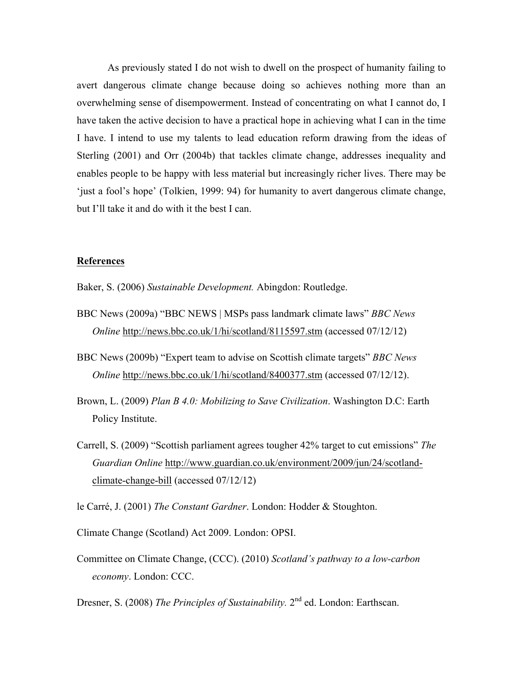As previously stated I do not wish to dwell on the prospect of humanity failing to avert dangerous climate change because doing so achieves nothing more than an overwhelming sense of disempowerment. Instead of concentrating on what I cannot do, I have taken the active decision to have a practical hope in achieving what I can in the time I have. I intend to use my talents to lead education reform drawing from the ideas of Sterling (2001) and Orr (2004b) that tackles climate change, addresses inequality and enables people to be happy with less material but increasingly richer lives. There may be 'just a fool's hope' (Tolkien, 1999: 94) for humanity to avert dangerous climate change, but I'll take it and do with it the best I can.

## **References**

Baker, S. (2006) *Sustainable Development.* Abingdon: Routledge.

- BBC News (2009a) "BBC NEWS | MSPs pass landmark climate laws" *BBC News Online* http://news.bbc.co.uk/1/hi/scotland/8115597.stm (accessed 07/12/12)
- BBC News (2009b) "Expert team to advise on Scottish climate targets" *BBC News Online* http://news.bbc.co.uk/1/hi/scotland/8400377.stm (accessed 07/12/12).
- Brown, L. (2009) *Plan B 4.0: Mobilizing to Save Civilization*. Washington D.C: Earth Policy Institute.
- Carrell, S. (2009) "Scottish parliament agrees tougher 42% target to cut emissions" *The Guardian Online* http://www.guardian.co.uk/environment/2009/jun/24/scotlandclimate-change-bill (accessed 07/12/12)
- le Carré, J. (2001) *The Constant Gardner*. London: Hodder & Stoughton.
- Climate Change (Scotland) Act 2009. London: OPSI.
- Committee on Climate Change, (CCC). (2010) *Scotland's pathway to a low-carbon economy*. London: CCC.
- Dresner, S. (2008) *The Principles of Sustainability*. 2<sup>nd</sup> ed. London: Earthscan.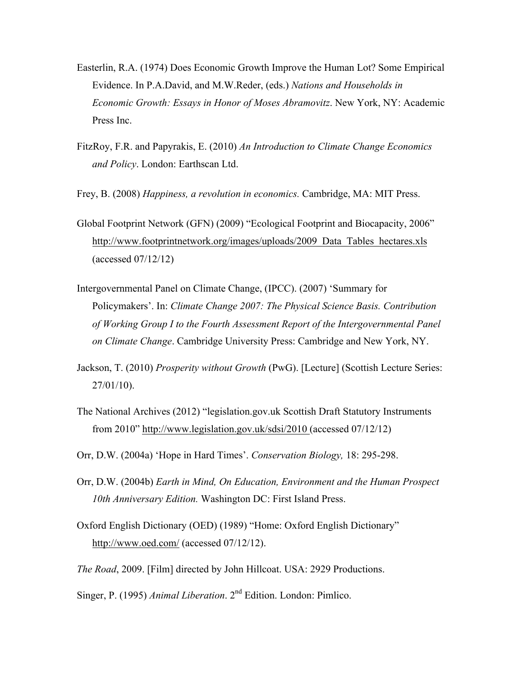- Easterlin, R.A. (1974) Does Economic Growth Improve the Human Lot? Some Empirical Evidence. In P.A.David, and M.W.Reder, (eds.) *Nations and Households in Economic Growth: Essays in Honor of Moses Abramovitz*. New York, NY: Academic Press Inc.
- FitzRoy, F.R. and Papyrakis, E. (2010) *An Introduction to Climate Change Economics and Policy*. London: Earthscan Ltd.
- Frey, B. (2008) *Happiness, a revolution in economics.* Cambridge, MA: MIT Press.
- Global Footprint Network (GFN) (2009) "Ecological Footprint and Biocapacity, 2006" http://www.footprintnetwork.org/images/uploads/2009\_Data\_Tables\_hectares.xls (accessed 07/12/12)
- Intergovernmental Panel on Climate Change, (IPCC). (2007) 'Summary for Policymakers'. In: *Climate Change 2007: The Physical Science Basis. Contribution of Working Group I to the Fourth Assessment Report of the Intergovernmental Panel on Climate Change*. Cambridge University Press: Cambridge and New York, NY.
- Jackson, T. (2010) *Prosperity without Growth* (PwG). [Lecture] (Scottish Lecture Series: 27/01/10).
- The National Archives (2012) "legislation.gov.uk Scottish Draft Statutory Instruments from 2010" http://www.legislation.gov.uk/sdsi/2010 (accessed 07/12/12)
- Orr, D.W. (2004a) 'Hope in Hard Times'. *Conservation Biology,* 18: 295-298.
- Orr, D.W. (2004b) *Earth in Mind, On Education, Environment and the Human Prospect 10th Anniversary Edition.* Washington DC: First Island Press.
- Oxford English Dictionary (OED) (1989) "Home: Oxford English Dictionary" http://www.oed.com/ (accessed 07/12/12).
- *The Road*, 2009. [Film] directed by John Hillcoat. USA: 2929 Productions.

Singer, P. (1995) *Animal Liberation*. 2nd Edition. London: Pimlico.